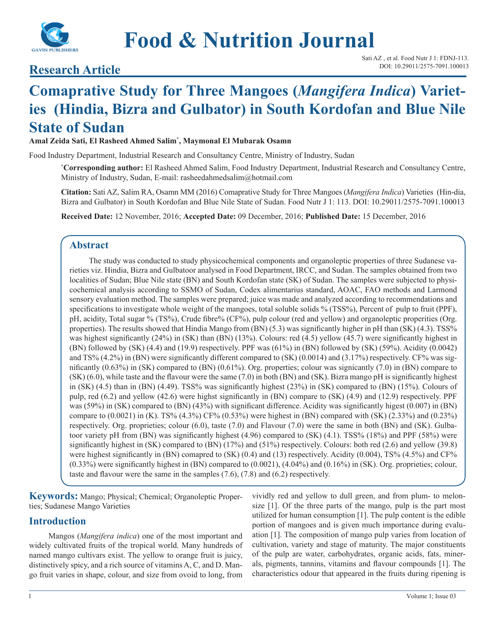

# **Food & Nutrition Journal**

# **Research Article** DOI: 10.29011/2575-7091.100013

# **Comaprative Study for Three Mangoes (***Mangifera Indica***) Varieties (Hindia, Bizra and Gulbator) in South Kordofan and Blue Nile State of Sudan**

**Amal Zeida Sati, El Rasheed Ahmed Salim\* , Maymonal El Mubarak Osamn**

Food Industry Department, Industrial Research and Consultancy Centre, Ministry of Industry, Sudan

**\* Corresponding author:** El Rasheed Ahmed Salim, Food Industry Department, Industrial Research and Consultancy Centre, Ministry of Industry, Sudan, E-mail: rasheedahmedsalim@hotmail.com

**Citation:** Sati AZ, Salim RA, Osamn MM (2016) Comaprative Study for Three Mangoes (*Mangifera Indica*) Varieties (Hin-dia, Bizra and Gulbator) in South Kordofan and Blue Nile State of Sudan. Food Nutr J 1: 113. DOI: 10.29011/2575-7091.100013

**Received Date:** 12 November, 2016; **Accepted Date:** 09 December, 2016; **Published Date:** 15 December, 2016

# **Abstract**

The study was conducted to study physicochemical components and organoleptic properties of three Sudanese varieties viz. Hindia, Bizra and Gulbatoor analysed in Food Department, IRCC, and Sudan. The samples obtained from two localities of Sudan; Blue Nile state (BN) and South Kordofan state (SK) of Sudan. The samples were subjected to physicochemical analysis according to SSMO of Sudan, Codex alimentarius standard, AOAC, FAO methods and Larmond sensory evaluation method. The samples were prepared; juice was made and analyzed according to recommendations and specifications to investigate whole weight of the mangoes, total soluble solids % (TSS%), Percent of pulp to fruit (PPF), pH, acidity, Total sugar % (TS%), Crude fibre% (CF%), pulp colour (red and yellow) and organoleptic properities (Org. properties). The results showed that Hindia Mango from (BN) (5.3) was significantly higher in pH than (SK) (4.3). TSS% was highest significantly (24%) in (SK) than (BN) (13%). Colours: red (4.5) yellow (45.7) were significantly highest in (BN) followed by (SK) (4.4) and (19.9) respectively. PPF was (61%) in (BN) followed by (SK) (59%). Acidity (0.0042) and  $TS% (4.2%)$  in (BN) were significantly different compared to  $(SK) (0.0014)$  and  $(3.17%)$  respectively. CF% was significantly  $(0.63\%)$  in (SK) compared to (BN)  $(0.61\%)$ . Org. properties; colour was signicantly  $(7.0)$  in (BN) compare to (SK) (6.0), while taste and the flavour were the same (7.0) in both (BN) and (SK). Bizra mango pH is significantly highest in (SK) (4.5) than in (BN) (4.49). TSS% was significantly highest (23%) in (SK) compared to (BN) (15%). Colours of pulp, red (6.2) and yellow (42.6) were highst significantly in (BN) compare to (SK) (4.9) and (12.9) respectively. PPF was (59%) in (SK) compared to (BN) (43%) with significant difference. Acidity was significantly higest (0.007) in (BN) compare to  $(0.0021)$  in (K). TS%  $(4.3\%)$  CF%  $(0.53\%)$  were highest in (BN) compared with (SK)  $(2.33\%)$  and  $(0.23\%)$ respectively. Org. proprieties; colour (6.0), taste (7.0) and Flavour (7.0) were the same in both (BN) and (SK). Gulbatoor variety pH from (BN) was significantly highest (4.96) compared to (SK) (4.1). TSS% (18%) and PPF (58%) were significantly highest in (SK) compared to (BN) (17%) and (51%) respectively. Colours: both red (2.6) and yellow (39.8) were highest significantly in (BN) comapred to (SK) (0.4) and (13) respectively. Acidity (0.004), TS% (4.5%) and CF%  $(0.33\%)$  were significantly highest in (BN) compared to  $(0.0021)$ ,  $(4.04\%)$  and  $(0.16\%)$  in (SK). Org. proprieties; colour, taste and flavour were the same in the samples (7.6), (7.8) and (6.2) respectively.

**Keywords:** Mango; Physical; Chemical; Organoleptic Properties; Sudanese Mango Varieties

## **Introduction**

Mangos (*Mangifera indica*) one of the most important and widely cultivated fruits of the tropical world. Many hundreds of named mango cultivars exist. The yellow to orange fruit is juicy, distinctively spicy, and a rich source of vitamins A, C, and D. Mango fruit varies in shape, colour, and size from ovoid to long, from

vividly red and yellow to dull green, and from plum- to melonsize [1]. Of the three parts of the mango, pulp is the part most utilized for human consumption [1]. The pulp content is the edible portion of mangoes and is given much importance during evaluation [1]. The composition of mango pulp varies from location of cultivation, variety and stage of maturity. The major constituents of the pulp are water, carbohydrates, organic acids, fats, minerals, pigments, tannins, vitamins and flavour compounds [1]. The characteristics odour that appeared in the fruits during ripening is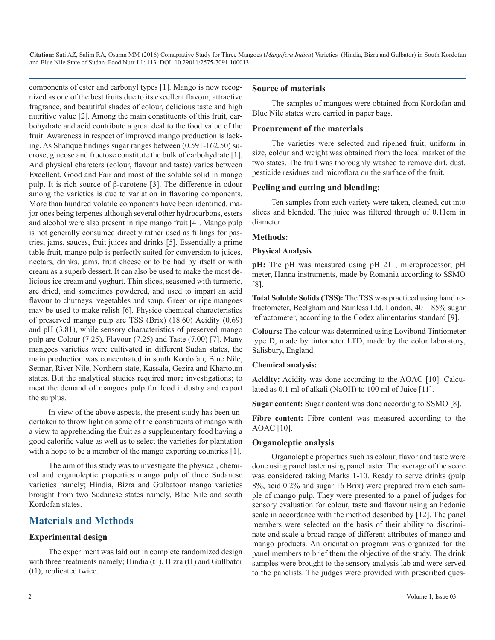components of ester and carbonyl types [1]. Mango is now recognized as one of the best fruits due to its excellent flavour, attractive fragrance, and beautiful shades of colour, delicious taste and high nutritive value [2]. Among the main constituents of this fruit, carbohydrate and acid contribute a great deal to the food value of the fruit. Awareness in respect of improved mango production is lacking. As Shafique findings sugar ranges between (0.591-162.50) sucrose, glucose and fructose constitute the bulk of carbohydrate [1]. And physical charcters (colour, flavour and taste) varies between Excellent, Good and Fair and most of the soluble solid in mango pulp. It is rich source of β-carotene [3]. The difference in odour among the varieties is due to variation in flavoring components. More than hundred volatile components have been identified, major ones being terpenes although several other hydrocarbons, esters and alcohol were also present in ripe mango fruit [4]. Mango pulp is not generally consumed directly rather used as fillings for pastries, jams, sauces, fruit juices and drinks [5]. Essentially a prime table fruit, mango pulp is perfectly suited for conversion to juices, nectars, drinks, jams, fruit cheese or to be had by itself or with cream as a superb dessert. It can also be used to make the most delicious ice cream and yoghurt. Thin slices, seasoned with turmeric, are dried, and sometimes powdered, and used to impart an acid flavour to chutneys, vegetables and soup. Green or ripe mangoes may be used to make relish [6]. Physico-chemical characteristics of preserved mango pulp are TSS (Brix) (18.60) Acidity (0.69) and pH (3.81), while sensory characteristics of preserved mango pulp are Colour (7.25), Flavour (7.25) and Taste (7.00) [7]. Many mangoes varieties were cultivated in different Sudan states, the main production was concentrated in south Kordofan, Blue Nile, Sennar, River Nile, Northern state, Kassala, Gezira and Khartoum states. But the analytical studies required more investigations; to meat the demand of mangoes pulp for food industry and export the surplus.

In view of the above aspects, the present study has been undertaken to throw light on some of the constituents of mango with a view to apprehending the fruit as a supplementary food having a good calorific value as well as to select the varieties for plantation with a hope to be a member of the mango exporting countries [1].

The aim of this study was to investigate the physical, chemical and organoleptic properties mango pulp of three Sudanese varieties namely; Hindia, Bizra and Gulbatoor mango varieties brought from two Sudanese states namely, Blue Nile and south Kordofan states.

# **Materials and Methods**

#### **Experimental design**

The experiment was laid out in complete randomized design with three treatments namely; Hindia (t1), Bizra (t1) and Gullbator (t1); replicated twice.

#### **Source of materials**

The samples of mangoes were obtained from Kordofan and Blue Nile states were carried in paper bags.

#### **Procurement of the materials**

The varieties were selected and ripened fruit, uniform in size, colour and weight was obtained from the local market of the two states. The fruit was thoroughly washed to remove dirt, dust, pesticide residues and microflora on the surface of the fruit.

#### **Peeling and cutting and blending:**

Ten samples from each variety were taken, cleaned, cut into slices and blended. The juice was filtered through of 0.11cm in diameter.

#### **Methods:**

#### **Physical Analysis**

**pH:** The pH was measured using pH 211, microprocessor, pH meter, Hanna instruments, made by Romania according to SSMO [8].

**Total Soluble Solids (TSS):** The TSS was practiced using hand refractometer, Beelgham and Sainless Ltd, London, 40 – 85% sugar refractometer, according to the Codex alimentarius standard [9].

**Colours:** The colour was determined using Lovibond Tintiometer type D, made by tintometer LTD, made by the color laboratory, Salisbury, England.

#### **Chemical analysis:**

**Acidity:** Acidity was done according to the AOAC [10]. Calculated as 0.1 ml of alkali (NaOH) to 100 ml of Juice [11].

**Sugar content:** Sugar content was done according to SSMO [8].

Fibre content: Fibre content was measured according to the AOAC [10].

#### **Organoleptic analysis**

Organoleptic properties such as colour, flavor and taste were done using panel taster using panel taster. The average of the score was considered taking Marks 1-10. Ready to serve drinks (pulp 8%, acid 0.2% and sugar 16 Brix) were prepared from each sample of mango pulp. They were presented to a panel of judges for sensory evaluation for colour, taste and flavour using an hedonic scale in accordance with the method described by [12]. The panel members were selected on the basis of their ability to discriminate and scale a broad range of different attributes of mango and mango products. An orientation program was organized for the panel members to brief them the objective of the study. The drink samples were brought to the sensory analysis lab and were served to the panelists. The judges were provided with prescribed ques-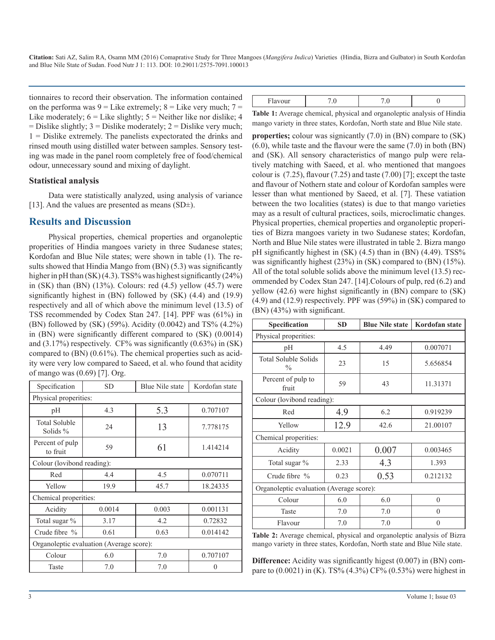tionnaires to record their observation. The information contained on the performa was  $9 =$  Like extremely;  $8 =$  Like very much;  $7 =$ Like moderately;  $6 =$  Like slightly;  $5 =$  Neither like nor dislike; 4  $=$  Dislike slightly; 3  $=$  Dislike moderately; 2  $=$  Dislike very much; 1 = Dislike extremely. The panelists expectorated the drinks and rinsed mouth using distilled water between samples. Sensory testing was made in the panel room completely free of food/chemical odour, unnecessary sound and mixing of daylight.

#### **Statistical analysis**

Data were statistically analyzed, using analysis of variance [13]. And the values are presented as means  $(SD<sup>\pm</sup>)$ .

## **Results and Discussion**

Physical properties, chemical properties and organoleptic properities of Hindia mangoes variety in three Sudanese states; Kordofan and Blue Nile states; were shown in table (1). The results showed that Hindia Mango from (BN) (5.3) was significantly higher in pH than (SK) (4.3). TSS% was highest significantly (24%) in (SK) than (BN)  $(13\%)$ . Colours: red  $(4.5)$  yellow  $(45.7)$  were significantly highest in (BN) followed by (SK) (4.4) and (19.9) respectively and all of which above the minimum level (13.5) of TSS recommended by Codex Stan 247. [14]. PPF was (61%) in (BN) followed by (SK) (59%). Acidity (0.0042) and TS% (4.2%) in (BN) were significantly different compared to (SK) (0.0014) and  $(3.17\%)$  respectively. CF% was significantly  $(0.63\%)$  in  $(SK)$ compared to (BN) (0.61%). The chemical properties such as acidity were very low compared to Saeed, et al. who found that acidity of mango was (0.69) [7]. Org.

| Specification                            | <b>SD</b>                  | Blue Nile state | Kordofan state |  |  |
|------------------------------------------|----------------------------|-----------------|----------------|--|--|
| Physical properities:                    |                            |                 |                |  |  |
| pH                                       | 4.3                        | 5.3             | 0.707107       |  |  |
| <b>Total Soluble</b><br>Solids %         | 24                         | 13              | 7.778175       |  |  |
| Percent of pulp<br>to fruit              | 59                         | 61              | 1.414214       |  |  |
|                                          | Colour (lovibond reading): |                 |                |  |  |
| Red                                      | 4.4                        | 4.5             | 0.070711       |  |  |
| Yellow                                   | 19.9                       | 45.7            | 18.24335       |  |  |
| Chemical properities:                    |                            |                 |                |  |  |
| Acidity                                  | 0.0014                     | 0.003           | 0.001131       |  |  |
| Total sugar %                            | 3.17                       | 4.2             | 0.72832        |  |  |
| Crude fibre $%$                          | 0.61                       | 0.63            | 0.014142       |  |  |
| Organoleptic evaluation (Average score): |                            |                 |                |  |  |
| Colour                                   | 6.0                        | 7.0             | 0.707107       |  |  |
| Taste                                    | 7.0                        | 7.0             |                |  |  |

| .<br>1 iavoui |  |         |
|---------------|--|---------|
| .             |  | $CFT$ . |

**Table 1:** Average chemical, physical and organoleptic analysis of Hindia mango variety in three states, Kordofan, North state and Blue Nile state.

**properties;** colour was signicantly (7.0) in (BN) compare to (SK) (6.0), while taste and the flavour were the same (7.0) in both (BN) and (SK). All sensory characteristics of mango pulp were relatively matching with Saeed, et al. who mentioned that mangoes colour is  $(7.25)$ , flavour  $(7.25)$  and taste  $(7.00)$  [7]; except the taste and flavour of Nothern state and colour of Kordofan samples were lesser than what mentioned by Saeed, et al. [7]. These vatiation between the two localities (states) is due to that mango varieties may as a result of cultural practices, soils, microclimatic changes. Physical properties, chemical properties and organoleptic properities of Bizra mangoes variety in two Sudanese states; Kordofan, North and Blue Nile states were illustrated in table 2. Bizra mango pH significantly highest in (SK) (4.5) than in (BN) (4.49). TSS% was significantly highest (23%) in (SK) compared to (BN) (15%). All of the total soluble solids above the minimum level (13.5) recommended by Codex Stan 247. [14].Colours of pulp, red (6.2) and yellow (42.6) were highst significantly in (BN) compare to (SK) (4.9) and (12.9) respectively. PPF was (59%) in (SK) compared to (BN) (43%) with significant.

| Specification                                | <b>SD</b> | <b>Blue Nile state</b> | Kordofan state |  |  |  |
|----------------------------------------------|-----------|------------------------|----------------|--|--|--|
| Physical properities:                        |           |                        |                |  |  |  |
| pН                                           | 4.5       | 4.49                   | 0.007071       |  |  |  |
| <b>Total Soluble Solids</b><br>$\frac{0}{0}$ | 23        | 15                     | 5.656854       |  |  |  |
| Percent of pulp to<br>fruit                  | 59        | 43                     | 11.31371       |  |  |  |
| Colour (lovibond reading):                   |           |                        |                |  |  |  |
| Red                                          | 4.9       | 6.2                    | 0.919239       |  |  |  |
| Yellow                                       | 12.9      | 42.6                   | 21.00107       |  |  |  |
| Chemical properities:                        |           |                        |                |  |  |  |
| Acidity                                      | 0.0021    | 0.007                  | 0.003465       |  |  |  |
| Total sugar %                                | 2.33      | 4.3                    | 1.393          |  |  |  |
| Crude fibre %                                | 0.23      | 0.53                   | 0.212132       |  |  |  |
| Organoleptic evaluation (Average score):     |           |                        |                |  |  |  |
| Colour                                       | 6.0       | 6.0                    | $\Omega$       |  |  |  |
| Taste                                        | 7.0       | 7.0                    | $\Omega$       |  |  |  |
| Flavour                                      | 7.0       | 7.0                    | $\theta$       |  |  |  |

**Table 2:** Average chemical, physical and organoleptic analysis of Bizra mango variety in three states, Kordofan, North state and Blue Nile state.

**Difference:** Acidity was significantly higest (0.007) in (BN) compare to  $(0.0021)$  in (K). TS%  $(4.3\%)$  CF%  $(0.53\%)$  were highest in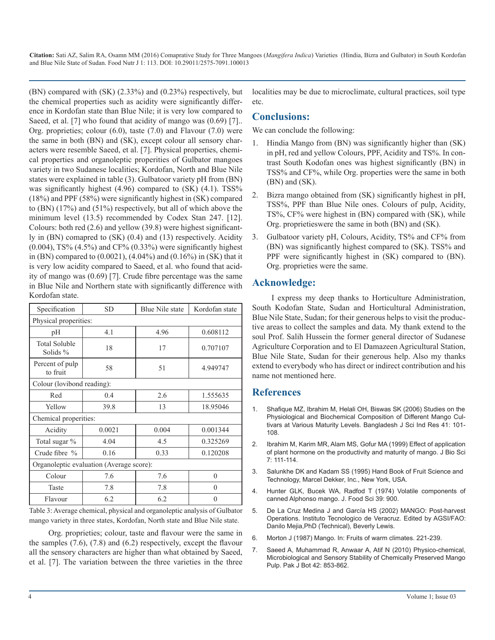(BN) compared with (SK) (2.33%) and (0.23%) respectively, but the chemical properties such as acidity were significantly difference in Kordofan state than Blue Nile; it is very low compared to Saeed, et al. [7] who found that acidity of mango was  $(0.69)$  [7]. Org. proprieties; colour (6.0), taste (7.0) and Flavour (7.0) were the same in both (BN) and (SK), except colour all sensory characters were resemble Saeed, et al. [7]. Physical properties, chemical properties and organoleptic properities of Gulbator mangoes variety in two Sudanese localities; Kordofan, North and Blue Nile states were explained in table (3). Gulbatoor variety pH from (BN) was significantly highest  $(4.96)$  compared to  $(SK)$   $(4.1)$ . TSS% (18%) and PPF (58%) were significantly highest in (SK) compared to (BN) (17%) and (51%) respectively, but all of which above the minimum level (13.5) recommended by Codex Stan 247. [12]. Colours: both red (2.6) and yellow (39.8) were highest significantly in (BN) comapred to (SK) (0.4) and (13) respectively. Acidity  $(0.004)$ , TS%  $(4.5\%)$  and CF%  $(0.33\%)$  were significantly highest in (BN) compared to (0.0021), (4.04%) and (0.16%) in (SK) that it is very low acidity compared to Saeed, et al. who found that acidity of mango was (0.69) [7]. Crude fibre percentage was the same in Blue Nile and Northern state with significantly difference with Kordofan state.

| Specification                            | <b>SD</b> | Blue Nile state | Kordofan state |  |  |
|------------------------------------------|-----------|-----------------|----------------|--|--|
| Physical properities:                    |           |                 |                |  |  |
| pH                                       | 4.1       | 4.96            | 0.608112       |  |  |
| <b>Total Soluble</b><br>Solids $%$       | 18        | 17              | 0.707107       |  |  |
| Percent of pulp<br>to fruit              | 58        | 51              | 4.949747       |  |  |
| Colour (lovibond reading):               |           |                 |                |  |  |
| Red                                      | 0.4       | 2.6             | 1.555635       |  |  |
| Yellow                                   | 39.8      | 13              | 18.95046       |  |  |
| Chemical properities:                    |           |                 |                |  |  |
| Acidity                                  | 0.0021    | 0.004           | 0.001344       |  |  |
| Total sugar %                            | 4.04      | 4.5             | 0.325269       |  |  |
| Crude fibre $%$                          | 0.16      | 0.33            | 0.120208       |  |  |
| Organoleptic evaluation (Average score): |           |                 |                |  |  |
| Colour                                   | 7.6       | 7.6             | $\Omega$       |  |  |
| Taste                                    | 7.8       | 7.8             | $\theta$       |  |  |
| Flavour                                  | 6.2       | 6.2             | $\Omega$       |  |  |

Table 3: Average chemical, physical and organoleptic analysis of Gulbator mango variety in three states, Kordofan, North state and Blue Nile state.

Org. proprieties; colour, taste and flavour were the same in the samples (7.6), (7.8) and (6.2) respectively, except the flavour all the sensory characters are higher than what obtained by Saeed, et al. [7]. The variation between the three varieties in the three localities may be due to microclimate, cultural practices, soil type etc.

# **Conclusions:**

We can conclude the following:

- 1. Hindia Mango from (BN) was significantly higher than (SK) in pH, red and yellow Colours, PPF, Acidity and TS%. In contrast South Kodofan ones was highest significantly (BN) in TSS% and CF%, while Org. properties were the same in both (BN) and (SK).
- 2. Bizra mango obtained from (SK) significantly highest in pH, TSS%, PPF than Blue Nile ones. Colours of pulp, Acidity, TS%, CF% were highest in (BN) compared with (SK), while Org. proprietieswere the same in both (BN) and (SK).
- 3. Gulbatoor variety pH, Colours, Acidity, TS% and CF% from (BN) was significantly highest compared to (SK). TSS% and PPF were significantly highest in (SK) compared to (BN). Org. proprieties were the same.

# **Acknowledge:**

I express my deep thanks to Horticulture Administration, South Kodofan State, Sudan and Horticultural Administration, Blue Nile State, Sudan; for their generous helps to visit the productive areas to collect the samples and data. My thank extend to the soul Prof. Salih Hussein the former general director of Sudanese Agriculture Corporation and to El Damazeen Agricultural Station, Blue Nile State, Sudan for their generous help. Also my thanks extend to everybody who has direct or indirect contribution and his name not mentioned here.

# **References**

- 1. [Shafique MZ, Ibrahim M, Helali OH, Biswas SK \(2006\) Studies on the](http://www.justice.gov.md/file/Centrul de armonizare a legislatiei/Baza de date/Materiale 2010/Legislatie/Codex Stan 247-2005.pdf)  Physiological and Biochemical Composition of Different Mango Cul[tivars at Various Maturity Levels. Bangladesh J Sci Ind Res 41: 101-](http://www.justice.gov.md/file/Centrul de armonizare a legislatiei/Baza de date/Materiale 2010/Legislatie/Codex Stan 247-2005.pdf) [108](http://www.justice.gov.md/file/Centrul de armonizare a legislatiei/Baza de date/Materiale 2010/Legislatie/Codex Stan 247-2005.pdf).
- 2. Ibrahim M, Karim MR, Alam MS, Gofur MA (1999) Effect of application of plant hormone on the productivity and maturity of mango. J Bio Sci 7: 111-114.
- 3. [Salunkhe DK and Kadam SS \(1995\) Hand Book of Fruit Science and](http://www.justice.gov.md/file/Centrul de armonizare a legislatiei/Baza de date/Materiale 2010/Legislatie/Codex Stan 247-2005.pdf)  Technology, Marcel Dekker, Inc., New York, USA.
- 4. [Hunter GLK, Bucek WA, Radfod T \(1974\) Volatile components of](http://www.justice.gov.md/file/Centrul de armonizare a legislatiei/Baza de date/Materiale 2010/Legislatie/Codex Stan 247-2005.pdf)  canned Alphonso mango. J. Food Sci 39: 900.
- 5. [De La Cruz Medina J and García HS \(2002\) MANGO: Post-harvest](http://www.justice.gov.md/file/Centrul de armonizare a legislatiei/Baza de date/Materiale 2010/Legislatie/Codex Stan 247-2005.pdf)  Operations. Instituto Tecnologico de Veracruz. Edited by AGSI/FAO[:](http://www.justice.gov.md/file/Centrul de armonizare a legislatiei/Baza de date/Materiale 2010/Legislatie/Codex Stan 247-2005.pdf)  [Danilo Mejia,PhD \(Technical\), Beverly Lewis](http://www.justice.gov.md/file/Centrul de armonizare a legislatiei/Baza de date/Materiale 2010/Legislatie/Codex Stan 247-2005.pdf).
- 6. [Morton J \(1987\) Mango. In: Fruits of warm climates. 221-239.](http://www.justice.gov.md/file/Centrul de armonizare a legislatiei/Baza de date/Materiale 2010/Legislatie/Codex Stan 247-2005.pdf)
- 7. [Saeed A, Muhammad R, Anwaar A, Atif N \(2010\) Physico-chemical,](http://www.justice.gov.md/file/Centrul de armonizare a legislatiei/Baza de date/Materiale 2010/Legislatie/Codex Stan 247-2005.pdf)  Microbiological and Sensory Stability of Chemically Preserved Mango [Pulp. Pak J Bot 42: 853-862](http://www.justice.gov.md/file/Centrul de armonizare a legislatiei/Baza de date/Materiale 2010/Legislatie/Codex Stan 247-2005.pdf).